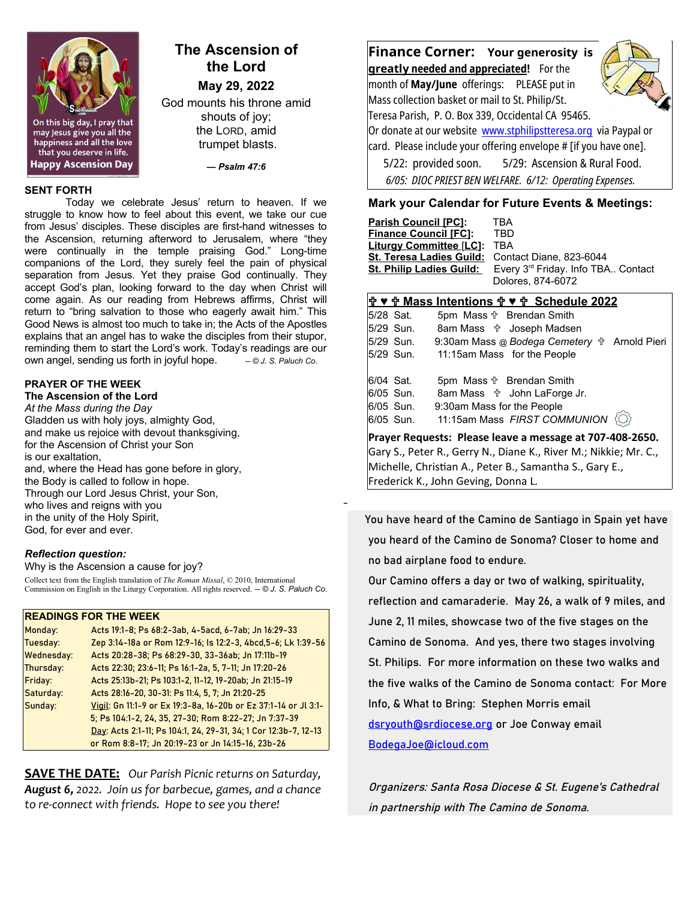

# **The Ascension of the Lord**

**May 29, 2022**

God mounts his throne amid shouts of joy; the LORD, amid trumpet blasts.

*— Psalm 47:6*

#### **SENT FORTH**

Today we celebrate Jesus' return to heaven. If we struggle to know how to feel about this event, we take our cue from Jesus' disciples. These disciples are first-hand witnesses to the Ascension, returning afterword to Jerusalem, where "they were continually in the temple praising God." Long-time companions of the Lord, they surely feel the pain of physical separation from Jesus. Yet they praise God continually. They accept God's plan, looking forward to the day when Christ will come again. As our reading from Hebrews affirms, Christ will return to "bring salvation to those who eagerly await him." This Good News is almost too much to take in; the Acts of the Apostles explains that an angel has to wake the disciples from their stupor, reminding them to start the Lord's work. Today's readings are our own angel, sending us forth in joyful hope.  $\odot$  J. S. Paluch Co.

#### **PRAYER OF THE WEEK**

**The Ascension of the Lord** *At the Mass during the Day* Gladden us with holy joys, almighty God, and make us rejoice with devout thanksgiving, for the Ascension of Christ your Son is our exaltation, and, where the Head has gone before in glory, the Body is called to follow in hope. Through our Lord Jesus Christ, your Son, who lives and reigns with you in the unity of the Holy Spirit, God, for ever and ever.

#### *Reflection question:*

Why is the Ascension a cause for joy?

Collect text from the English translation of *The Roman Missal*, © 2010, International Commission on English in the Liturgy Corporation. All rights reserved. *-- © J. S. Paluch Co*.

#### **READINGS FOR THE WEEK**

| Monday:           | Acts 19:1-8; Ps 68:2-3ab, 4-5acd, 6-7ab; Jn 16:29-33            |
|-------------------|-----------------------------------------------------------------|
| Tuesday:          | Zep 3:14-18a or Rom 12:9-16; Is 12:2-3, 4bcd, 5-6; Lk 1:39-56   |
| <b>Wednesday:</b> | Acts 20:28-38; Ps 68:29-30, 33-36ab; Jn 17:11b-19               |
| Thursday:         | Acts 22:30; 23:6-11; Ps 16:1-2a, 5, 7-11; Jn 17:20-26           |
| Friday:           | Acts 25:13b-21; Ps 103:1-2, 11-12, 19-20ab; Jn 21:15-19         |
| Saturday:         | Acts 28:16-20, 30-31: Ps 11:4, 5, 7; Jn 21:20-25                |
| Sunday:           | Vigil: Gn 11:1-9 or Ex 19:3-8a, 16-20b or Ez 37:1-14 or Jl 3:1- |
|                   | 5; Ps 104:1-2, 24, 35, 27-30; Rom 8:22-27; Jn 7:37-39           |
|                   | Day: Acts 2:1-11; Ps 104:1, 24, 29-31, 34; 1 Cor 12:3b-7, 12-13 |
|                   | or Rom 8:8-17; Jn 20:19-23 or Jn 14:15-16, 23b-26               |

**SAVE THE DATE:** *Our Parish Picnic returns on Saturday, August 6, 2022. Join us for barbecue, games, and a chance to re-connect with friends. Hope to see you there!*

**Finance Corner: Your generosity is greatl y needed and appreciated!** For the

month of **May/June** offerings: PLEASE put in Mass collection basket or mail to St. Philip/St. Teresa Parish, P. O. Box 339, Occidental CA 95465.



Or donate at our website [www.stphilipstteresa.org](http://www.stphilipstteresa.org/) via Paypal or card. Please include your offering envelope # [if you have one]. 5/22: provided soon. 5/29: Ascension & Rural Food.

 *6/05: DIOC PRIEST BEN WELFARE. 6/12: Operating Expenses.*

#### **Mark your Calendar for Future Events & Meetings:**

| <b>Finance Council [FC]:</b><br>TBD<br><b>Liturgy Committee [LC]:</b><br>TBA<br><b>St. Teresa Ladies Guild:</b><br>Contact Diane, 823-6044<br><b>St. Philip Ladies Guild:</b><br>Dolores, 874-6072 | $\mathbb{R}$ as $\mathbb{R}$ Mess Intentions $\mathbb{R}$ as $\mathbb{R}$ . Cohodule 2022 |                                    |  |
|----------------------------------------------------------------------------------------------------------------------------------------------------------------------------------------------------|-------------------------------------------------------------------------------------------|------------------------------------|--|
|                                                                                                                                                                                                    |                                                                                           |                                    |  |
|                                                                                                                                                                                                    |                                                                                           | Every 3rd Friday. Info TBA Contact |  |
|                                                                                                                                                                                                    |                                                                                           |                                    |  |
|                                                                                                                                                                                                    |                                                                                           |                                    |  |
|                                                                                                                                                                                                    |                                                                                           |                                    |  |
|                                                                                                                                                                                                    | <b>Parish Council [PC]:</b>                                                               | TBA                                |  |

|                                                                  |           | T V T Mass Intentions T V T Schedule 2022           |  |
|------------------------------------------------------------------|-----------|-----------------------------------------------------|--|
|                                                                  | 5/28 Sat. | 5pm Mass $\oplus$ Brendan Smith                     |  |
|                                                                  | 5/29 Sun. | 8am Mass $\psi$ Joseph Madsen                       |  |
|                                                                  | 5/29 Sun. | 9:30am Mass @ Bodega Cemetery $\oplus$ Arnold Pieri |  |
|                                                                  | 5/29 Sun. | 11:15am Mass for the People                         |  |
|                                                                  |           |                                                     |  |
|                                                                  | 6/04 Sat. | 5pm Mass $\oplus$ Brendan Smith                     |  |
|                                                                  | 6/05 Sun. | 8am Mass $\oplus$ John LaForge Jr.                  |  |
|                                                                  | 6/05 Sun. | 9:30am Mass for the People                          |  |
|                                                                  | 6/05 Sun. | 11:15am Mass FIRST COMMUNION<br>$\langle$ O)        |  |
| Prayer Requests: Please leave a message at 707-408-2650.         |           |                                                     |  |
| Gary S., Peter R., Gerry N., Diane K., River M.; Nikkie; Mr. C., |           |                                                     |  |
| Michelle, Christian A., Peter B., Samantha S., Gary E.,          |           |                                                     |  |
|                                                                  |           |                                                     |  |

Frederick K., John Geving, Donna L.

\_

 You have heard of the Camino de Santiago in Spain yet have you heard of the Camino de Sonoma? Closer to home and no bad airplane food to endure.

Our Camino offers a day or two of walking, spirituality, reflection and camaraderie. May 26, a walk of 9 miles, and June 2, 11 miles, showcase two of the five stages on the Camino de Sonoma. And yes, there two stages involving St. Philips. For more information on these two walks and the five walks of the Camino de Sonoma contact: For More Info, & What to Bring: Stephen Morris email [dsryouth@srdiocese.org](mailto:dsryouth@srdiocese.org) or Joe Conway email

[BodegaJoe@icloud.com](mailto:BodegaJoe@icloud.com)

Organizers: Santa Rosa Diocese & St. Eugene's Cathedral in partnership with The Camino de Sonoma.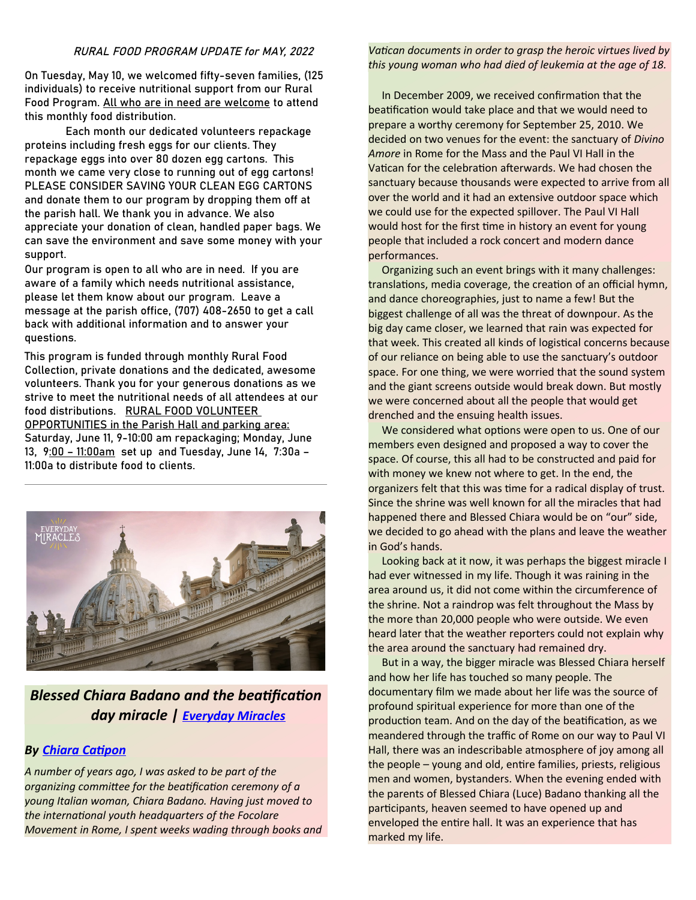#### RURAL FOOD PROGRAM UPDATE for MAY, 2022

On Tuesday, May 10, we welcomed fifty-seven families, (125 individuals) to receive nutritional support from our Rural Food Program. All who are in need are welcome to attend this monthly food distribution.

Each month our dedicated volunteers repackage proteins including fresh eggs for our clients. They repackage eggs into over 80 dozen egg cartons. This month we came very close to running out of egg cartons! PLEASE CONSIDER SAVING YOUR CLEAN EGG CARTONS and donate them to our program by dropping them off at the parish hall. We thank you in advance. We also appreciate your donation of clean, handled paper bags. We can save the environment and save some money with your support.

Our program is open to all who are in need. If you are aware of a family which needs nutritional assistance, please let them know about our program. Leave a message at the parish office, (707) 408-2650 to get a call back with additional information and to answer your questions.

This program is funded through monthly Rural Food Collection, private donations and the dedicated, awesome volunteers. Thank you for your generous donations as we strive to meet the nutritional needs of all attendees at our food distributions. RURAL FOOD VOLUNTEER OPPORTUNITIES in the Parish Hall and parking area: Saturday, June 11, 9-10:00 am repackaging; Monday, June 13, 9:00 – 11:00am set up and Tuesday, June 14, 7:30a – 11:00a to distribute food to clients.



## *Blessed Chiara Badano and the beatification day miracle | [Everyday Miracles](https://slmedia.org/blog/blessed-chiara-badano-and-the-beatification-day-miracle-everyday-miracles)*

### *By [Chiara Catipon](https://slmedia.org/blog/blessed-chiara-badano-and-the-beatification-day-miracle-everyday-miracles)*

*A number of years ago, I was asked to be part of the organizing committee for the beatification ceremony of a young Italian woman, Chiara Badano. Having just moved to the international youth headquarters of the Focolare Movement in Rome, I spent weeks wading through books and*  *Vatican documents in order to grasp the heroic virtues lived by this young woman who had died of leukemia at the age of 18.* 

 In December 2009, we received confirmation that the beatification would take place and that we would need to prepare a worthy ceremony for September 25, 2010. We decided on two venues for the event: the sanctuary of *Divino Amore* in Rome for the Mass and the Paul VI Hall in the Vatican for the celebration afterwards. We had chosen the sanctuary because thousands were expected to arrive from all over the world and it had an extensive outdoor space which we could use for the expected spillover. The Paul VI Hall would host for the first time in history an event for young people that included a rock concert and modern dance performances.

 Organizing such an event brings with it many challenges: translations, media coverage, the creation of an official hymn, and dance choreographies, just to name a few! But the biggest challenge of all was the threat of downpour. As the big day came closer, we learned that rain was expected for that week. This created all kinds of logistical concerns because of our reliance on being able to use the sanctuary's outdoor space. For one thing, we were worried that the sound system and the giant screens outside would break down. But mostly we were concerned about all the people that would get drenched and the ensuing health issues.

 We considered what options were open to us. One of our members even designed and proposed a way to cover the space. Of course, this all had to be constructed and paid for with money we knew not where to get. In the end, the organizers felt that this was time for a radical display of trust. Since the shrine was well known for all the miracles that had happened there and Blessed Chiara would be on "our" side, we decided to go ahead with the plans and leave the weather in God's hands.

 Looking back at it now, it was perhaps the biggest miracle I had ever witnessed in my life. Though it was raining in the area around us, it did not come within the circumference of the shrine. Not a raindrop was felt throughout the Mass by the more than 20,000 people who were outside. We even heard later that the weather reporters could not explain why the area around the sanctuary had remained dry.

 But in a way, the bigger miracle was Blessed Chiara herself and how her life has touched so many people. The documentary film we made about her life was the source of profound spiritual experience for more than one of the production team. And on the day of the beatification, as we meandered through the traffic of Rome on our way to Paul VI Hall, there was an indescribable atmosphere of joy among all the people – young and old, entire families, priests, religious men and women, bystanders. When the evening ended with the parents of Blessed Chiara (Luce) Badano thanking all the participants, heaven seemed to have opened up and enveloped the entire hall. It was an experience that has marked my life.